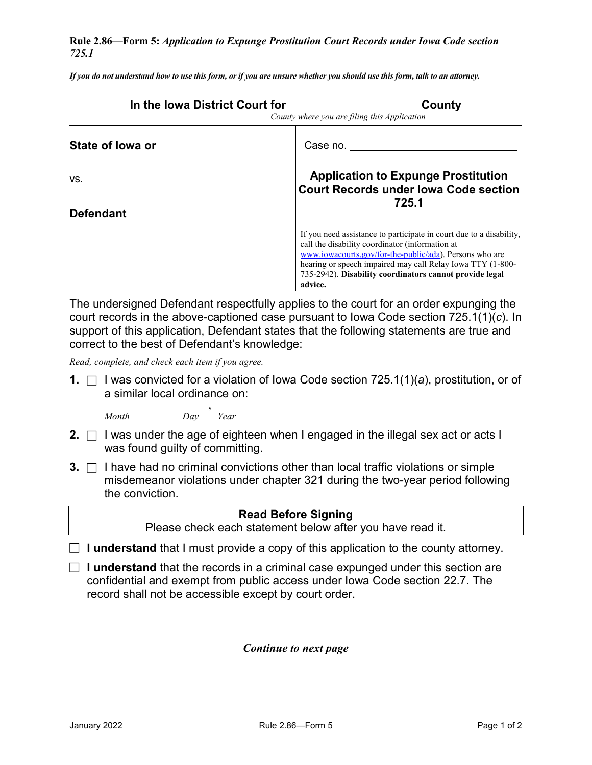## **Rule 2.86—Form 5:** *Application to Expunge Prostitution Court Records under Iowa Code section 725.1*

| In the Iowa District Court for | County                                                                                                                                                                                                                                                                                                                |  |  |  |
|--------------------------------|-----------------------------------------------------------------------------------------------------------------------------------------------------------------------------------------------------------------------------------------------------------------------------------------------------------------------|--|--|--|
|                                | County where you are filing this Application                                                                                                                                                                                                                                                                          |  |  |  |
| State of lowa or               | Case no. $\_\_\_\_\_\_\_\_\_\_\_$                                                                                                                                                                                                                                                                                     |  |  |  |
| VS.                            | <b>Application to Expunge Prostitution</b><br><b>Court Records under lowa Code section</b><br>725.1                                                                                                                                                                                                                   |  |  |  |
| <b>Defendant</b>               |                                                                                                                                                                                                                                                                                                                       |  |  |  |
|                                | If you need assistance to participate in court due to a disability,<br>call the disability coordinator (information at<br>www.iowacourts.gov/for-the-public/ada). Persons who are<br>hearing or speech impaired may call Relay Iowa TTY (1-800-<br>735-2942). Disability coordinators cannot provide legal<br>advice. |  |  |  |

*If you do not understand how to use this form, or if you are unsure whether you should use this form, talk to an attorney.*

The undersigned Defendant respectfully applies to the court for an order expunging the court records in the above-captioned case pursuant to Iowa Code section 725.1(1)(*c*). In support of this application, Defendant states that the following statements are true and correct to the best of Defendant's knowledge:

*Read, complete, and check each item if you agree.*

**1.** I was convicted for a violation of Iowa Code section 725.1(1)(*a*), prostitution, or of a similar local ordinance on:

, *Month Day Year*

- **2.**  $\Box$  I was under the age of eighteen when I engaged in the illegal sex act or acts I was found guilty of committing.
- **3.**  $\Box$  I have had no criminal convictions other than local traffic violations or simple misdemeanor violations under chapter 321 during the two-year period following the conviction.

## **Read Before Signing** Please check each statement below after you have read it.

- **I understand** that I must provide a copy of this application to the county attorney.
- **I understand** that the records in a criminal case expunged under this section are confidential and exempt from public access under Iowa Code section 22.7. The record shall not be accessible except by court order.

## *Continue to next page*